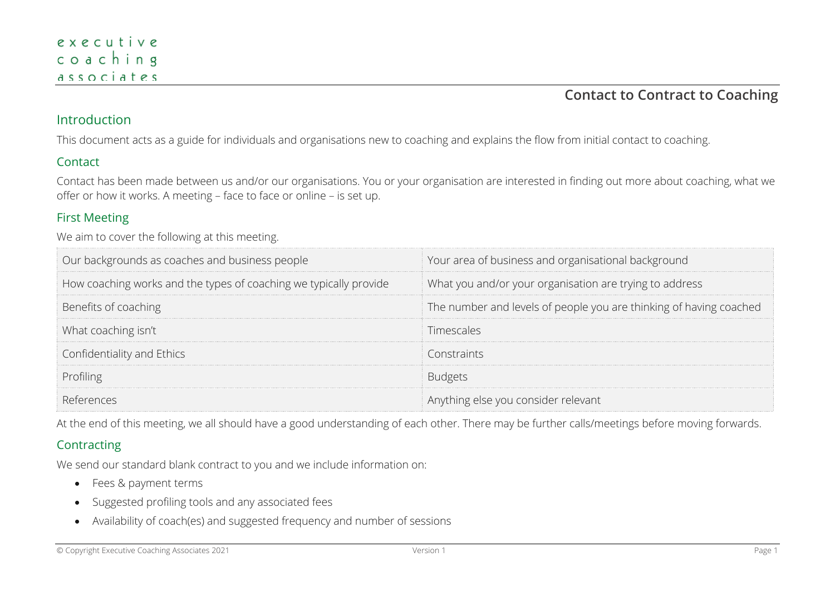## **Contact to Contract to Coaching**

### Introduction

This document acts as a guide for individuals and organisations new to coaching and explains the flow from initial contact to coaching.

#### Contact

Contact has been made between us and/or our organisations. You or your organisation are interested in finding out more about coaching, what we offer or how it works. A meeting – face to face or online – is set up.

#### First Meeting

We aim to cover the following at this meeting.

| Our backgrounds as coaches and business people                    | Your area of business and organisational background                |
|-------------------------------------------------------------------|--------------------------------------------------------------------|
| How coaching works and the types of coaching we typically provide | What you and/or your organisation are trying to address            |
| Benefits of coaching                                              | The number and levels of people you are thinking of having coached |
| What coaching isn't                                               | Timescales                                                         |
| Confidentiality and Ethics                                        | Constraints                                                        |
| Profiling                                                         |                                                                    |
|                                                                   | Anything else you consider relevant                                |

At the end of this meeting, we all should have a good understanding of each other. There may be further calls/meetings before moving forwards.

### **Contracting**

We send our standard blank contract to you and we include information on:

- Fees & payment terms
- Suggested profiling tools and any associated fees
- Availability of coach(es) and suggested frequency and number of sessions